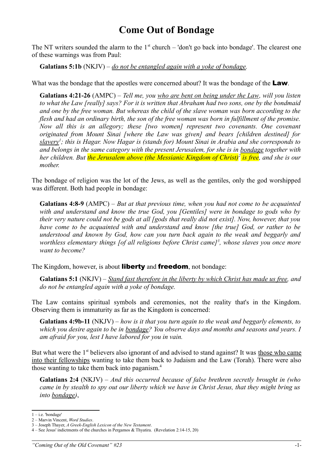## **Come Out of Bondage**

The NT writers sounded the alarm to the  $1<sup>st</sup>$  church – 'don't go back into bondage'. The clearest one of these warnings was from Paul:

**Galatians 5:1b** (NKJV) – *do not be entangled again with a yoke of bondage.* 

What was the bondage that the apostles were concerned about? It was the bondage of the **Law**.

**Galatians 4:21-26** (AMPC) – *Tell me, you who are bent on being under the Law, will you listen to what the Law [really] says? For it is written that Abraham had two sons, one by the bondmaid and one by the free woman. But whereas the child of the slave woman was born according to the flesh and had an ordinary birth, the son of the free woman was born in fulfillment of the promise. Now all this is an allegory; these [two women] represent two covenants. One covenant originated from Mount Sinai [where the Law was given] and bears [children destined] for slavery[1](#page-0-0) ; this is Hagar. Now Hagar is (stands for) Mount Sinai in Arabia and she corresponds to and belongs in the same category with the present Jerusalem, for she is in bondage together with her children. But the Jerusalem above (the Messianic Kingdom of Christ)[2](#page-0-1) is free, and she is our mother.*

The bondage of religion was the lot of the Jews, as well as the gentiles, only the god worshipped was different. Both had people in bondage:

**Galatians 4:8-9** (AMPC) – *But at that previous time, when you had not come to be acquainted with and understand and know the true God, you [Gentiles] were in bondage to gods who by their very nature could not be gods at all [gods that really did not exist]. Now, however, that you have come to be acquainted with and understand and know [the true] God, or rather to be understood and known by God, how can you turn back again to the weak and beggarly and worthless elementary things [of all religions before Christ came][3](#page-0-2) , whose slaves you once more want to become?*

The Kingdom, however, is about **liberty** and **freedom**, not bondage:

**Galatians 5:1** (NKJV) – *Stand fast therefore in the liberty by which Christ has made us free, and do not be entangled again with a yoke of bondage.*

The Law contains spiritual symbols and ceremonies, not the reality that's in the Kingdom. Observing them is immaturity as far as the Kingdom is concerned:

**Galatians 4:9b-11** (NKJV) – *how is it that you turn again to the weak and beggarly elements, to which you desire again to be in bondage? You observe days and months and seasons and years. I am afraid for you, lest I have labored for you in vain.*

But what were the  $1<sup>st</sup>$  believers also ignorant of and advised to stand against? It was those who came into their fellowships wanting to take them back to Judaism and the Law (Torah). There were also those wanting to take them back into paganism.[4](#page-0-3)

**Galatians 2:4** (NKJV) – *And this occurred because of false brethren secretly brought in (who came in by stealth to spy out our liberty which we have in Christ Jesus, that they might bring us into bondage)*,

<span id="page-0-0"></span> $1 - i.e.$  'bondage'

<span id="page-0-1"></span><sup>2 –</sup> Marvin Vincent, *Word Studies*.

<span id="page-0-2"></span><sup>3 –</sup> Joseph Thayer, *A Greek-English Lexicon of the New Testament*.

<span id="page-0-3"></span><sup>4 –</sup> See Jesus' indictments of the churches in Pergamos & Thyatira. (Revelation 2:14-15, 20)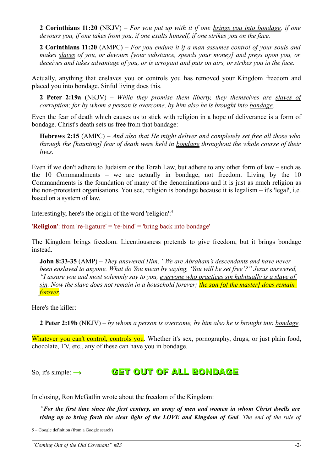**2 Corinthians 11:20** (NKJV) – *For you put up with it if one brings you into bondage, if one devours you, if one takes from you, if one exalts himself, if one strikes you on the face.* 

**2 Corinthians 11:20** (AMPC) – *For you endure it if a man assumes control of your souls and makes slaves of you, or devours [your substance, spends your money] and preys upon you, or deceives and takes advantage of you, or is arrogant and puts on airs, or strikes you in the face.*

Actually, anything that enslaves you or controls you has removed your Kingdom freedom and placed you into bondage. Sinful living does this.

**2 Peter 2:19a** (NKJV) – *While they promise them liberty, they themselves are slaves of corruption; for by whom a person is overcome, by him also he is brought into bondage.*

Even the fear of death which causes us to stick with religion in a hope of deliverance is a form of bondage. Christ's death sets us free from that bandage:

**Hebrews 2:15** (AMPC) – *And also that He might deliver and completely set free all those who through the [haunting] fear of death were held in bondage throughout the whole course of their lives.*

Even if we don't adhere to Judaism or the Torah Law, but adhere to any other form of law – such as the 10 Commandments – we are actually in bondage, not freedom. Living by the 10 Commandments is the foundation of many of the denominations and it is just as much religion as the non-protestant organisations. You see, religion is bondage because it is legalism – it's 'legal', i.e. based on a system of law.

Interestingly, here's the origin of the word 'religion':[5](#page-1-0)

'**Religion**': from 're-ligature' = 're-bind' = 'bring back into bondage'

The Kingdom brings freedom. Licentiousness pretends to give freedom, but it brings bondage instead.

**John 8:33-35** (AMP) – *They answered Him, "We are Abraham's descendants and have never been enslaved to anyone. What do You mean by saying, 'You will be set free'?" Jesus answered, "I assure you and most solemnly say to you, everyone who practices sin habitually is a slave of sin. Now the slave does not remain in a household forever; the son [of the master] does remain forever.* 

Here's the killer:

**2 Peter 2:19b** (NKJV) – *by whom a person is overcome, by him also he is brought into bondage.*

Whatever you can't control, controls you. Whether it's sex, pornography, drugs, or just plain food, chocolate, TV, etc., any of these can have you in bondage.

## So, it's simple:  $\rightarrow$  GET OUT OF ALL BONDAGE

In closing, Ron McGatlin wrote about the freedom of the Kingdom:

*"For the first time since the first century, an army of men and women in whom Christ dwells are rising up to bring forth the clear light of the LOVE and Kingdom of God. The end of the rule of*

<span id="page-1-0"></span><sup>5 –</sup> Google definition (from a Google search)

*<sup>&</sup>quot;Coming Out of the Old Covenant" #23* -2-